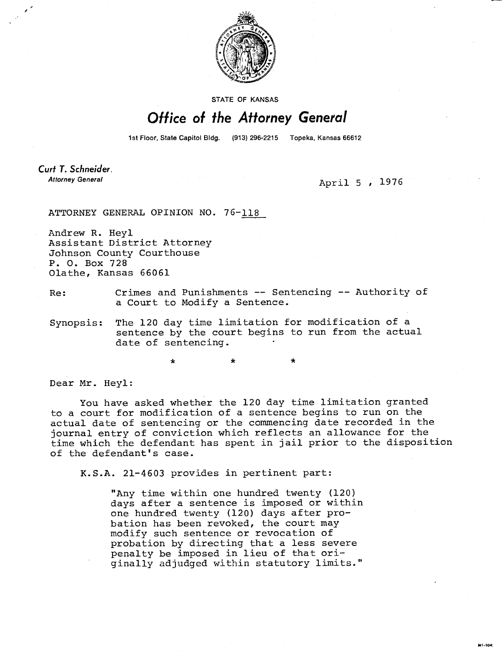

STATE OF KANSAS

## Office of the Attorney General

1st Floor, State Capitol Bldg. (913) 296-2215 Topeka, Kansas 66612

Curt T. Schneider. **Attorney General** 

April 5 , 1976

M1-104:

ATTORNEY GENERAL OPINION NO. 76-118

Andrew R. Heyl Assistant District Attorney Johnson County Courthouse P. 0. Box 728 Olathe, Kansas 66061

## Re: Crimes and Punishments -- Sentencing -- Authority of a Court to Modify a Sentence.

Synopsis: The 120 day time limitation for modification of a sentence by the court begins to run from the actual date of sentencing.

\*

Dear Mr. Heyl:

You have asked whether the 120 day time limitation granted to a court for modification of a sentence begins to run on the actual date of sentencing or the commencing date recorded in the journal entry of conviction which reflects an allowance for the time which the defendant has spent in jail prior to the disposition of the defendant's case.

K.S.A. 21-4603 provides in pertinent part:

"Any time within one hundred twenty (120) days after a sentence is imposed or within one hundred twenty (120) days after probation has been revoked, the court may modify such sentence or revocation of probation by directing that a less severe penalty be imposed in lieu of that originally adjudged within statutory limits."